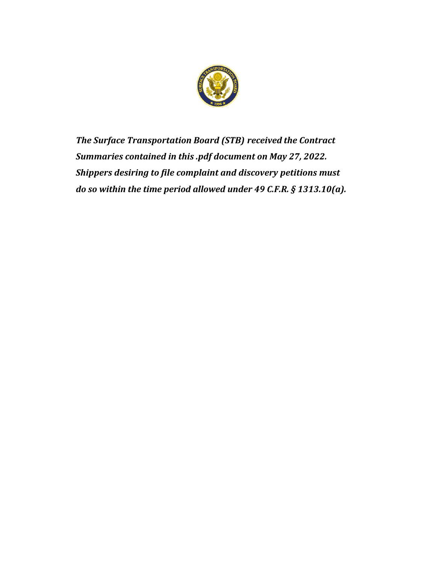

*The Surface Transportation Board (STB) received the Contract Summaries contained in this .pdf document on May 27, 2022. Shippers desiring to file complaint and discovery petitions must do so within the time period allowed under 49 C.F.R. § 1313.10(a).*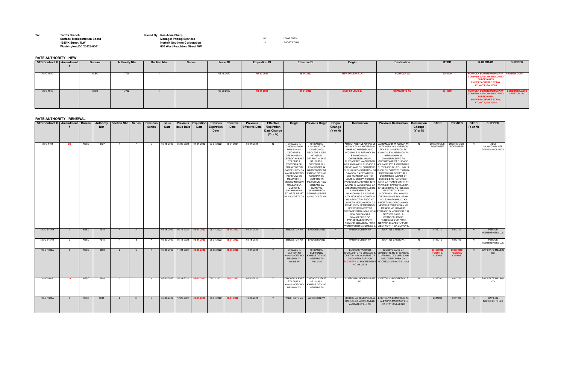| To: | <b>Tariffs Branch</b><br><b>Surface Transportation Board</b> | <b>Issued By: Rae-Anne Sharp</b><br><b>Manager Pricing S</b> |
|-----|--------------------------------------------------------------|--------------------------------------------------------------|
|     | 1925 K Street, N.W.                                          | <b>Norfolk Southern</b>                                      |
|     | <b>Washington, DC 20423-0001</b>                             | 650 West Peachtro                                            |

## **Surface Transportation Board Manager Pricing Services** 01 LONG FORM **1925 K Street, N.W.** SHORT FORM Southern Corporation and the street, N.W. SHORT FORM **Washington, DC 20423-0001 650 West Peachtree Street NW**

## **RATE AUTHORITY - NEW**

## **RATE AUTHORITY - RENEWAL**

| STB Contract #   Amendment   Bureau |     |             | <b>Authority</b><br><b>Nbr</b> | Section Nbr | <b>Series</b> | <b>Previous</b><br><b>Series</b> | <b>Issue</b><br><b>Date</b> | <b>Previous</b><br><b>Issue Date</b> | Expiration<br><b>Date</b>    | <b>Previous</b><br><b>Expiration</b><br><b>Date</b>                        | <b>Effective</b><br><b>Date</b> | <b>Previous</b><br><b>Effective Date</b> | <b>Effective</b><br>/Expiration<br><b>Date Change</b><br>$(Y \text{ or } N)$ | Origin                                                                                                                                                                                                                                                                                                                                                            | <b>Previous Origin</b>                                                                                                                                                                                                                                                                                                                                                                                          | Origin<br>Change<br>$(Y \text{ or } N)$ | <b>Destination</b>                                                                                                                                                                                                                                                                                                                                                                                                                                                                                                                                                                                                                                                                             | <b>Previous Destination</b>                                                                                                                                                                                                                                                                                                                                                                                                                                                                                                                                                                                                                                                                                                                                                                                 | <b>Destination</b><br>Change<br>$(Y \text{ or } N)$ | <b>STCC</b>                                      | <b>PrevSTC</b>                      | <b>STCC</b><br>$(Y \text{ or } N)$ | <b>SHIPPER</b>                                   |
|-------------------------------------|-----|-------------|--------------------------------|-------------|---------------|----------------------------------|-----------------------------|--------------------------------------|------------------------------|----------------------------------------------------------------------------|---------------------------------|------------------------------------------|------------------------------------------------------------------------------|-------------------------------------------------------------------------------------------------------------------------------------------------------------------------------------------------------------------------------------------------------------------------------------------------------------------------------------------------------------------|-----------------------------------------------------------------------------------------------------------------------------------------------------------------------------------------------------------------------------------------------------------------------------------------------------------------------------------------------------------------------------------------------------------------|-----------------------------------------|------------------------------------------------------------------------------------------------------------------------------------------------------------------------------------------------------------------------------------------------------------------------------------------------------------------------------------------------------------------------------------------------------------------------------------------------------------------------------------------------------------------------------------------------------------------------------------------------------------------------------------------------------------------------------------------------|-------------------------------------------------------------------------------------------------------------------------------------------------------------------------------------------------------------------------------------------------------------------------------------------------------------------------------------------------------------------------------------------------------------------------------------------------------------------------------------------------------------------------------------------------------------------------------------------------------------------------------------------------------------------------------------------------------------------------------------------------------------------------------------------------------------|-----------------------------------------------------|--------------------------------------------------|-------------------------------------|------------------------------------|--------------------------------------------------|
| NS-C-1701                           | -26 | NSSC        | 13727                          |             | P             | O .                              | 05-18-2022                  |                                      | 05-09-2022 07-31-2022        | 07-31-2022                                                                 | 08-01-2021                      | 08-01-2021                               | N.                                                                           | CHICAGO IL<br><b>CINCINNATI OH</b><br><b>DAWSON GA</b><br><b>DECATUR IL</b><br><b>DES MOINES IA</b><br><b>DETROIT MI EAST</b><br>ST LOUIS IL<br><b>FOSTORIA OH</b><br><b>FRANKFORT IN</b><br><b>GARDEN CITY GA</b><br>KANSAS CITY MO<br><b>KERSHAW SC</b><br>MEMPHIS TN<br><b>MEXICO MO NEW</b><br>ORLEANS LA<br>QUINCY IL<br>SAVANNAH GA<br><b>STUARTS DRAFT</b> | <b>CHICAGO IL</b><br><b>CINCINNATI OH</b><br><b>DAWSON GA</b><br><b>DECATUR IL DES</b><br><b>MOINES IA</b><br><b>DETROIT MI EAST</b><br>ST LOUIS IL<br><b>FOSTORIA OH</b><br><b>FRANKFORT IN</b><br><b>GARDEN CITY GA</b><br><b>KANSAS CITY MO</b><br><b>KERSHAW SC</b><br><b>MEMPHIS TN</b><br>MEXICO MO NEW<br>ORLEANS LA<br>QUINCY IL<br>SAVANNAH GA<br><b>STUARTS DRAF</b><br>VA VALDOSTA GA VA VALDOSTA GA |                                         | ALTAVISTA VA ANDERSON<br>PKHP SC ANDERSON SC<br><b>BIRMINGHAM AL</b><br><b>CHAMBERSBURG PA</b><br>CHESAPEAKE VA CHICAGO<br>ASHLAND AVE IL CHICAGO IL ASHLAND AVE IL CHICAGO I<br>CUOH OH CONSTITUTION GA CUOH OH CONSTITUTION G<br>DAWSON GA DECATUR IL<br>DES MOINES IA EAST ST<br>LOUIS IL ERIE PA FOREST<br>PARK GA FRANKFORT IN FT<br>NJ IVORYDALE OH<br>JACKSONVILLE IL KANSAS<br>CITY MO KINGS MOUNTAIN<br>NC LEXINGTON RJCC KY<br>LINDE TN MCDONOUGH GA<br>MEMPHIS TN MERIDIAN MS<br><b>MEXICO MO MIDWEST</b><br>PORTAGE IN MOUNDVILLE AL PORTAGE IN MOUNDVILLE AI<br><b>NEW ORLEANS LA</b><br>ORANGEBURG SC<br>PAINESVILLE OH PORT<br>NEWARK ELIZABE NJ PORT<br>WENTWORTH GA QUINCY IL | ADRIAN ADBF MI ADRIAN MI   ADRIAN ADBF MI ADRIAN MI<br>ALTAVISTA VA ANDERSON<br>PKHP SC ANDERSON SC<br>AVONDALE AL BERWICK PA   AVONDALE AL BERWICK PA<br><b>BIRMINGHAM AL</b><br><b>CHAMBERSBURG PA</b><br>CHESAPEAKE VA CHICAGO<br>CLEVELAND OH COLUMBUS   CLEVELAND OH COLUMBUS<br>DAWSON GA DECATUR IL<br>DES MOINES IA EAST ST<br>LOUIS IL ERIE PA FOREST<br>PARK GA FRANKFORT IN FT<br>WAYNE IN GAINESVILLE GA   WAYNE IN GAINESVILLE GA<br>GREENSBORO NC HILLSIDE   GREENSBORO NC HILLSIDE<br>NJ IVORYDALE OH<br>JACKSONVILLE IL KANSAS<br><b>CITY MO KINGS MOUNTAIN</b><br>NC LEXINGTON RJCC KY<br>LINDE TN MCDONOUGH GA<br><b>MEMPHIS TN MERIDIAN MS</b><br>MEXICO MO MIDWEST<br>NEW ORLEANS LA<br>ORANGEBURG SC<br>PAINESVILLE OH PORT<br>NEWARK ELIZABE NJ PORT<br><b>WENTWORTH GA QUINCY IL</b> |                                                     | 2000000 OILS,<br>FOOD PREP                       | 2000000 OILS,<br><b>FOOD PREP</b>   | N                                  | ADM<br>MILLING/ARCHER<br><b>DANIELS MIDLANDS</b> |
| NS-C-348HH                          |     | <b>NSSC</b> | 17315                          |             | A             |                                  |                             |                                      |                              | $\vert$ 05-18-2022 $\vert$ 06-11-2021 <b>05-31-2022</b> 05-17-2022 $\vert$ | 05-18-2022                      | 06-01-2021                               |                                                                              |                                                                                                                                                                                                                                                                                                                                                                   | BRIDGETON NJ   BRIDGETON NJ                                                                                                                                                                                                                                                                                                                                                                                     | N                                       | MARTINS CREEK PA                                                                                                                                                                                                                                                                                                                                                                                                                                                                                                                                                                                                                                                                               | MARTINS CREEK PA                                                                                                                                                                                                                                                                                                                                                                                                                                                                                                                                                                                                                                                                                                                                                                                            | N.                                                  | 0113710                                          | 0113710                             | N                                  | PERDUE<br>AGRIBUSINESS LLC                       |
| NS-C-348HH                          |     | NSSC        | 17315                          |             | <b>B</b>      | $\overline{A}$                   |                             |                                      |                              |                                                                            | 06-01-2022                      | 05-18-2022                               |                                                                              |                                                                                                                                                                                                                                                                                                                                                                   | BRIDGETON NJ   BRIDGETON NJ                                                                                                                                                                                                                                                                                                                                                                                     | - N                                     | MARTINS CREEK PA                                                                                                                                                                                                                                                                                                                                                                                                                                                                                                                                                                                                                                                                               | <b>MARTINS CREEK PA</b>                                                                                                                                                                                                                                                                                                                                                                                                                                                                                                                                                                                                                                                                                                                                                                                     |                                                     | 0113710                                          | 0113710                             | N.                                 | PERDUE<br><b>AGRIBUSINESS LLC</b>                |
| <b>NS-C-1608A</b>                   |     | NSSC        | 19598                          |             | G             |                                  | $05-20-2022$                |                                      | 11-04-2021 <b>06-30-2022</b> | $05-05-2022$                                                               | 05-06-2022                      | 11-01-2021                               | <b>Y</b>                                                                     | <b>CHICAGO IL</b><br><b>CLIFTON NJ</b><br>KANSAS CITY MO<br><b>MEMPHIS TN</b><br><b>WILLIS MI</b>                                                                                                                                                                                                                                                                 | <b>CHICAGO IL</b><br><b>CLIFTON NJ</b><br><b>KANSAS CITY MO</b><br><b>MEMPHIS TN</b><br><b>WILLIS MI</b>                                                                                                                                                                                                                                                                                                        | N.                                      | BUCKEYE YARD OH<br>CHARLOTTE NC CHICAGO IL<br>CLIFTON NJ COLUMBUS OH<br>DISCOVERY PARK OH<br>ELIZABETH NJ MOORESVILLE MOORESVILLE NC WILLIS MI<br><b>NC WILLIS MI</b>                                                                                                                                                                                                                                                                                                                                                                                                                                                                                                                          | BUCKEYE YARD OH<br>CHARLOTTE NC CHICAGO IL<br>CLIFTON NJ COLUMBUS OH<br>DISCOVERY PARK OH                                                                                                                                                                                                                                                                                                                                                                                                                                                                                                                                                                                                                                                                                                                   |                                                     | 204000008<br><b>FLOUR &amp;</b><br><b>CLEARS</b> | <b>FLOUR &amp;</b><br><b>CLEARS</b> | N                                  | <b>BAY STATE MILLING</b><br>CO                   |
| NS-C-1608                           | 10  | NSSC        | 19598                          |             | . L           | - K -                            |                             |                                      |                              |                                                                            | 06-01-2022                      | 06-01-2021                               | <b>Y</b>                                                                     | ST LOUIS IL<br><b>MEMPHIS TN</b>                                                                                                                                                                                                                                                                                                                                  | CHICAGO IL EAST   CHICAGO IL EAST<br>ST LOUIS IL<br>KANSAS CITY MO   KANSAS CITY MO<br><b>MEMPHIS TN</b>                                                                                                                                                                                                                                                                                                        | N                                       | <b>NC</b>                                                                                                                                                                                                                                                                                                                                                                                                                                                                                                                                                                                                                                                                                      | CLIFTON NJ MOORESVILLE   CLIFTON NJ MOORESVILLE<br>NC.                                                                                                                                                                                                                                                                                                                                                                                                                                                                                                                                                                                                                                                                                                                                                      | N.                                                  | 0113700                                          | 0113700                             | N                                  | <b>BAY STATE MILLING</b><br>CO.                  |
| NS-C-1828A                          |     | <b>NSSC</b> | 5041                           |             | H             | G                                | 05-20-2022                  |                                      |                              | 12-20-2021   05-31-2023   05-31-2022                                       | 06-01-2022                      | 12-20-2021                               | <b>Y</b>                                                                     |                                                                                                                                                                                                                                                                                                                                                                   | WINCHESTE VA   WINCHESTE VA                                                                                                                                                                                                                                                                                                                                                                                     | - N                                     | HALIFAX VA MARTINSVILLE<br>VA STATESVILLE NC                                                                                                                                                                                                                                                                                                                                                                                                                                                                                                                                                                                                                                                   | BRISTOL VA DEMOPOLIS AL   BRISTOL VA DEMOPOLIS AL<br><b>HALIFAX VA MARTINSVILLE</b><br>VA STATESVILLE NC                                                                                                                                                                                                                                                                                                                                                                                                                                                                                                                                                                                                                                                                                                    | N.                                                  | 2041200                                          | 2041200                             | - N-                               | GAVILON<br><b>INGREDIENTS LLC</b>                |

| STB Contract #   Amendment | <b>Bureau</b> | <b>Authority Nbr</b> | <b>Section Nbr</b> | <b>Series</b> | <b>Issue Dt</b> | <b>Expiration Dt</b> | <b>Effective Dt</b> | Origin                  | <b>Destination</b>  | <b>STCC</b> | <b>RAILROAD</b>                                                                                                                                       | <b>SHIPPER</b>    |
|----------------------------|---------------|----------------------|--------------------|---------------|-----------------|----------------------|---------------------|-------------------------|---------------------|-------------|-------------------------------------------------------------------------------------------------------------------------------------------------------|-------------------|
| NS-C-1939                  | <b>NSSC</b>   | 7790                 |                    |               | 05-16-2022      | 09-30-2022           | 05-16-2022          | <b>NEW ORLEANS LA</b>   | <b>NORFOLK VA</b>   | 2094130     | NORFOLK SOUTHERN RAILWAY PROTEIN CORF<br><b>COMPANY AND CONSOLIDATED</b><br><b>SUBSIDIARIES</b><br><b>650 W PEACHTREE ST NW,</b><br>ATLANTA, GA 30308 |                   |
| <b>NS-C-1940</b>           | <b>NSSC</b>   | 7792                 |                    |               | 05-20-2022      | 03-31-2023           | 04-01-2022          | <b>EAST ST LOUIS IL</b> | <b>CHARLOTTE NC</b> | 2040000     | NORFOLK SOUTHERN RAILWAY BENSON HILL/<br><b>COMPANY AND CONSOLIDATED</b><br><b>SUBSIDIARIES</b><br><b>650 W PEACHTREE ST NW,</b><br>ATLANTA, GA 30308 | <b>CRESTON LI</b> |